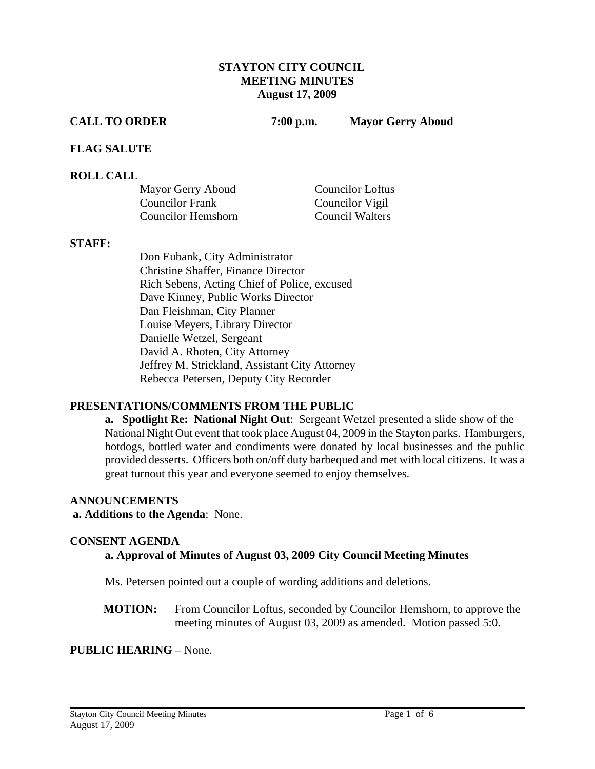### **STAYTON CITY COUNCIL MEETING MINUTES August 17, 2009**

**CALL TO ORDER 7:00 p.m. Mayor Gerry Aboud** 

### **FLAG SALUTE**

### **ROLL CALL**

| Mayor Gerry Aboud      | <b>Councilor Loftus</b> |
|------------------------|-------------------------|
| <b>Councilor Frank</b> | Councilor Vigil         |
| Councilor Hemshorn     | Council Walters         |

#### **STAFF:**

Don Eubank, City Administrator Christine Shaffer, Finance Director Rich Sebens, Acting Chief of Police, excused Dave Kinney, Public Works Director Dan Fleishman, City Planner Louise Meyers, Library Director Danielle Wetzel, Sergeant David A. Rhoten, City Attorney Jeffrey M. Strickland, Assistant City Attorney Rebecca Petersen, Deputy City Recorder

## **PRESENTATIONS/COMMENTS FROM THE PUBLIC**

**a. Spotlight Re: National Night Out**: Sergeant Wetzel presented a slide show of the National Night Out event that took place August 04, 2009 in the Stayton parks. Hamburgers, hotdogs, bottled water and condiments were donated by local businesses and the public provided desserts. Officers both on/off duty barbequed and met with local citizens. It was a great turnout this year and everyone seemed to enjoy themselves.

#### **ANNOUNCEMENTS**

 **a. Additions to the Agenda**: None.

#### **CONSENT AGENDA**

## **a. Approval of Minutes of August 03, 2009 City Council Meeting Minutes**

Ms. Petersen pointed out a couple of wording additions and deletions.

**MOTION:** From Councilor Loftus, seconded by Councilor Hemshorn, to approve the meeting minutes of August 03, 2009 as amended. Motion passed 5:0.

#### **PUBLIC HEARING** – None.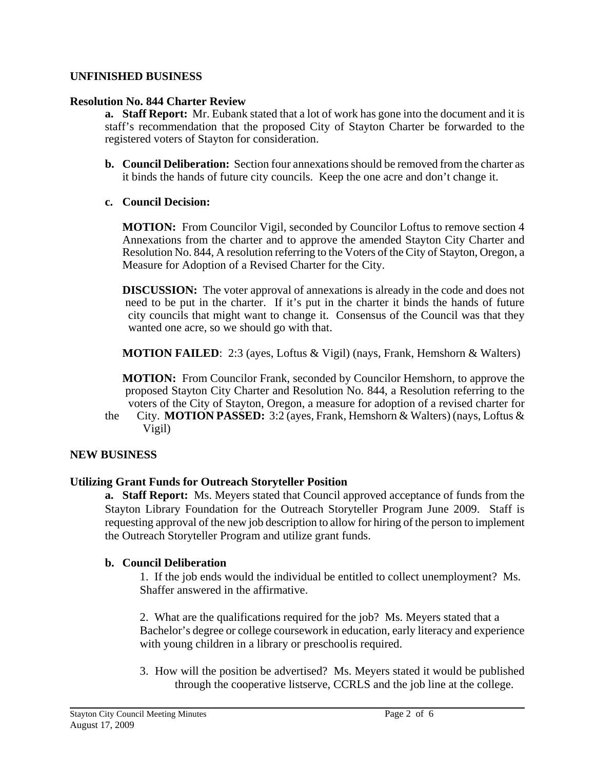## **UNFINISHED BUSINESS**

### **Resolution No. 844 Charter Review**

**a. Staff Report:** Mr. Eubank stated that a lot of work has gone into the document and it is staff's recommendation that the proposed City of Stayton Charter be forwarded to the registered voters of Stayton for consideration.

- **b. Council Deliberation:** Section four annexations should be removed from the charter as it binds the hands of future city councils. Keep the one acre and don't change it.
- **c. Council Decision:**

**MOTION:** From Councilor Vigil, seconded by Councilor Loftus to remove section 4 Annexations from the charter and to approve the amended Stayton City Charter and Resolution No. 844, A resolution referring to the Voters of the City of Stayton, Oregon, a Measure for Adoption of a Revised Charter for the City.

**DISCUSSION:** The voter approval of annexations is already in the code and does not need to be put in the charter. If it's put in the charter it binds the hands of future city councils that might want to change it. Consensus of the Council was that they wanted one acre, so we should go with that.

**MOTION FAILED**: 2:3 (ayes, Loftus & Vigil) (nays, Frank, Hemshorn & Walters)

 **MOTION:** From Councilor Frank, seconded by Councilor Hemshorn, to approve the proposed Stayton City Charter and Resolution No. 844, a Resolution referring to the voters of the City of Stayton, Oregon, a measure for adoption of a revised charter for

the City. **MOTION PASSED:** 3:2 (ayes, Frank, Hemshorn & Walters) (nays, Loftus & Vigil)

## **NEW BUSINESS**

## **Utilizing Grant Funds for Outreach Storyteller Position**

**a. Staff Report:** Ms. Meyers stated that Council approved acceptance of funds from the Stayton Library Foundation for the Outreach Storyteller Program June 2009.Staff is requesting approval of the new job description to allow for hiring of the person to implement the Outreach Storyteller Program and utilize grant funds.

## **b. Council Deliberation**

1. If the job ends would the individual be entitled to collect unemployment? Ms. Shaffer answered in the affirmative.

2. What are the qualifications required for the job? Ms. Meyers stated that a Bachelor's degree or college coursework in education, early literacy and experience with young children in a library or preschoolis required.

 3. How will the position be advertised? Ms. Meyers stated it would be published through the cooperative listserve, CCRLS and the job line at the college.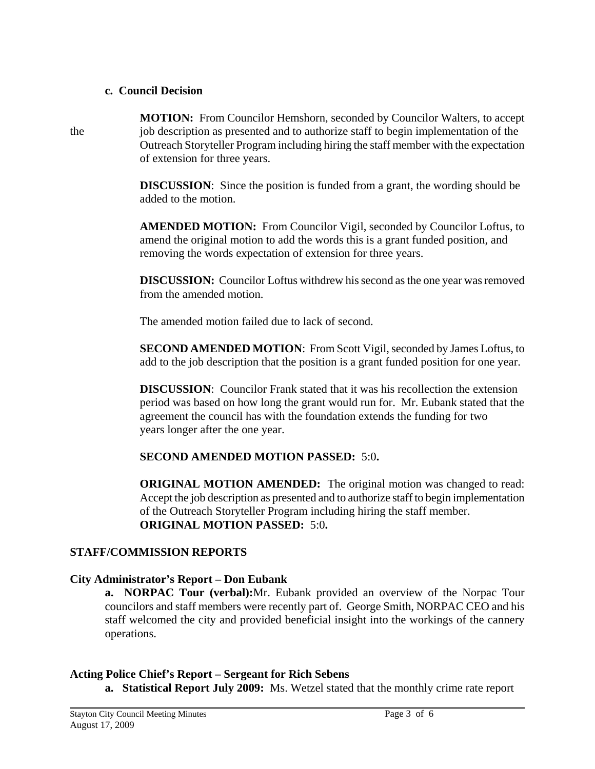#### **c. Council Decision**

 **MOTION:** From Councilor Hemshorn, seconded by Councilor Walters, to accept the job description as presented and to authorize staff to begin implementation of the Outreach Storyteller Program including hiring the staff member with the expectation of extension for three years.

> **DISCUSSION:** Since the position is funded from a grant, the wording should be added to the motion.

 **AMENDED MOTION:** From Councilor Vigil, seconded by Councilor Loftus, to amend the original motion to add the words this is a grant funded position, and removing the words expectation of extension for three years.

**DISCUSSION:** Councilor Loftus withdrew his second as the one year was removed from the amended motion.

The amended motion failed due to lack of second.

 **SECOND AMENDED MOTION**: From Scott Vigil, seconded by James Loftus, to add to the job description that the position is a grant funded position for one year.

 **DISCUSSION**: Councilor Frank stated that it was his recollection the extension period was based on how long the grant would run for. Mr. Eubank stated that the agreement the council has with the foundation extends the funding for two years longer after the one year.

# **SECOND AMENDED MOTION PASSED:** 5:0**.**

**ORIGINAL MOTION AMENDED:** The original motion was changed to read: Accept the job description as presented and to authorize staff to begin implementation of the Outreach Storyteller Program including hiring the staff member. **ORIGINAL MOTION PASSED:** 5:0**.** 

# **STAFF/COMMISSION REPORTS**

# **City Administrator's Report – Don Eubank**

 **a. NORPAC Tour (verbal):**Mr. Eubank provided an overview of the Norpac Tour councilors and staff members were recently part of. George Smith, NORPAC CEO and his staff welcomed the city and provided beneficial insight into the workings of the cannery operations.

## **Acting Police Chief's Report – Sergeant for Rich Sebens**

**a. Statistical Report July 2009:** Ms. Wetzel stated that the monthly crime rate report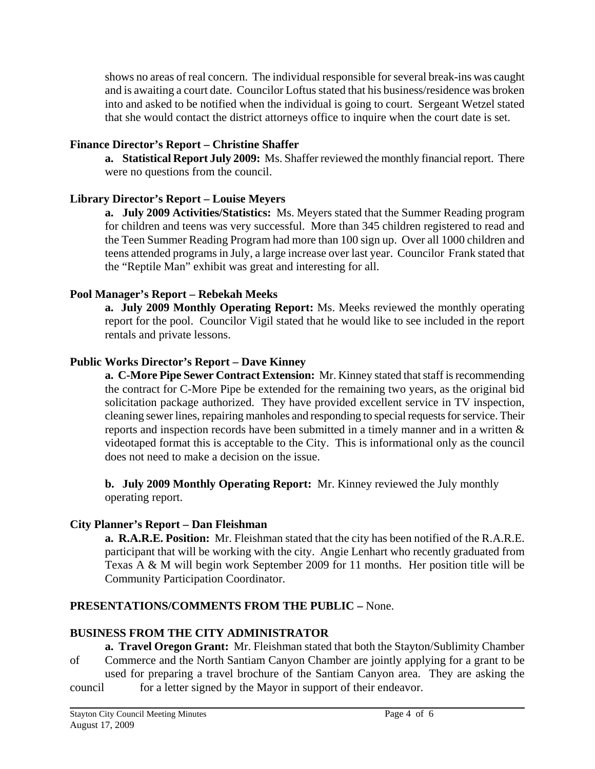shows no areas of real concern. The individual responsible for several break-ins was caught and is awaiting a court date. Councilor Loftus stated that his business/residence was broken into and asked to be notified when the individual is going to court. Sergeant Wetzel stated that she would contact the district attorneys office to inquire when the court date is set.

## **Finance Director's Report – Christine Shaffer**

**a. Statistical Report July 2009:** Ms. Shaffer reviewed the monthly financial report. There were no questions from the council.

# **Library Director's Report – Louise Meyers**

**a. July 2009 Activities/Statistics:** Ms. Meyers stated that the Summer Reading program for children and teens was very successful. More than 345 children registered to read and the Teen Summer Reading Program had more than 100 sign up. Over all 1000 children and teens attended programs in July, a large increase over last year. Councilor Frank stated that the "Reptile Man" exhibit was great and interesting for all.

# **Pool Manager's Report – Rebekah Meeks**

 **a. July 2009 Monthly Operating Report:** Ms. Meeks reviewed the monthly operating report for the pool. Councilor Vigil stated that he would like to see included in the report rentals and private lessons.

## **Public Works Director's Report – Dave Kinney**

 **a. C-More Pipe Sewer Contract Extension:** Mr. Kinney stated that staff is recommending the contract for C-More Pipe be extended for the remaining two years, as the original bid solicitation package authorized. They have provided excellent service in TV inspection, cleaning sewer lines, repairing manholes and responding to special requests for service. Their reports and inspection records have been submitted in a timely manner and in a written & videotaped format this is acceptable to the City. This is informational only as the council does not need to make a decision on the issue.

**b. July 2009 Monthly Operating Report:** Mr. Kinney reviewed the July monthly operating report.

# **City Planner's Report – Dan Fleishman**

 **a. R.A.R.E. Position:** Mr. Fleishman stated that the city has been notified of the R.A.R.E. participant that will be working with the city. Angie Lenhart who recently graduated from Texas A & M will begin work September 2009 for 11 months. Her position title will be Community Participation Coordinator.

# **PRESENTATIONS/COMMENTS FROM THE PUBLIC –** None.

# **BUSINESS FROM THE CITY ADMINISTRATOR**

 **a. Travel Oregon Grant:** Mr. Fleishman stated that both the Stayton/Sublimity Chamber

- of Commerce and the North Santiam Canyon Chamber are jointly applying for a grant to be used for preparing a travel brochure of the Santiam Canyon area. They are asking the
- council for a letter signed by the Mayor in support of their endeavor.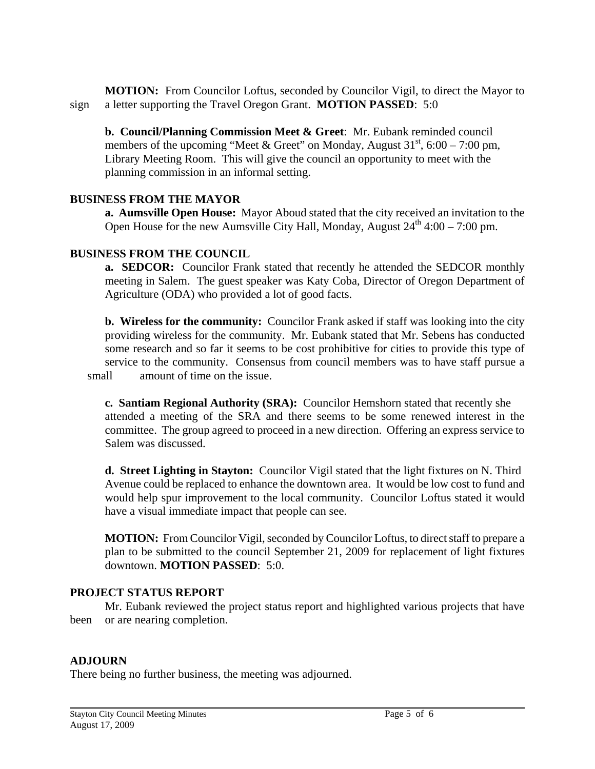**MOTION:** From Councilor Loftus, seconded by Councilor Vigil, to direct the Mayor to sign a letter supporting the Travel Oregon Grant. **MOTION PASSED**: 5:0

 **b. Council/Planning Commission Meet & Greet**: Mr. Eubank reminded council members of the upcoming "Meet & Greet" on Monday, August  $31<sup>st</sup>$ , 6:00 – 7:00 pm, Library Meeting Room. This will give the council an opportunity to meet with the planning commission in an informal setting.

## **BUSINESS FROM THE MAYOR**

 **a. Aumsville Open House:** Mayor Aboud stated that the city received an invitation to the Open House for the new Aumsville City Hall, Monday, August  $24^{th}$  4:00 – 7:00 pm.

### **BUSINESS FROM THE COUNCIL**

**a. SEDCOR:** Councilor Frank stated that recently he attended the SEDCOR monthly meeting in Salem. The guest speaker was Katy Coba, Director of Oregon Department of Agriculture (ODA) who provided a lot of good facts.

 **b. Wireless for the community:** Councilor Frank asked if staff was looking into the city providing wireless for the community. Mr. Eubank stated that Mr. Sebens has conducted some research and so far it seems to be cost prohibitive for cities to provide this type of service to the community. Consensus from council members was to have staff pursue a small amount of time on the issue.

**c. Santiam Regional Authority (SRA):** Councilor Hemshorn stated that recently she attended a meeting of the SRA and there seems to be some renewed interest in the committee. The group agreed to proceed in a new direction. Offering an express service to Salem was discussed.

**d. Street Lighting in Stayton:** Councilor Vigil stated that the light fixtures on N. Third Avenue could be replaced to enhance the downtown area. It would be low cost to fund and would help spur improvement to the local community. Councilor Loftus stated it would have a visual immediate impact that people can see.

**MOTION:** From Councilor Vigil, seconded by Councilor Loftus, to direct staff to prepare a plan to be submitted to the council September 21, 2009 for replacement of light fixtures downtown. **MOTION PASSED**: 5:0.

## **PROJECT STATUS REPORT**

Mr. Eubank reviewed the project status report and highlighted various projects that have been or are nearing completion.

## **ADJOURN**

There being no further business, the meeting was adjourned.